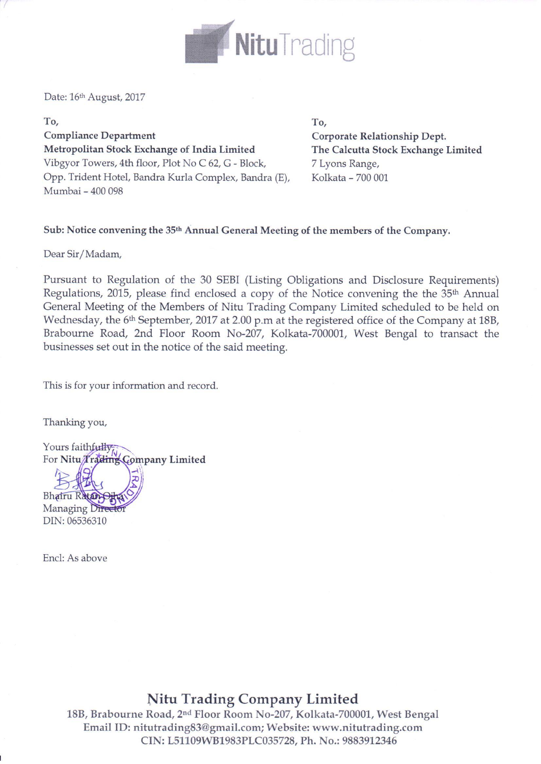

Date: 16th August, 2017

To, **Compliance Department** Metropolitan Stock Exchange of India Limited Vibgyor Towers, 4th floor, Plot No C 62, G - Block, Opp. Trident Hotel, Bandra Kurla Complex, Bandra (E), Mumbai - 400 098

To, Corporate Relationship Dept. The Calcutta Stock Exchange Limited 7 Lyons Range, Kolkata - 700 001

#### Sub: Notice convening the 35<sup>th</sup> Annual General Meeting of the members of the Company.

Dear Sir/Madam,

Pursuant to Regulation of the 30 SEBI (Listing Obligations and Disclosure Requirements) Regulations, 2015, please find enclosed a copy of the Notice convening the the 35<sup>th</sup> Annual General Meeting of the Members of Nitu Trading Company Limited scheduled to be held on Wednesday, the 6<sup>th</sup> September, 2017 at 2.00 p.m at the registered office of the Company at 18B, Brabourne Road, 2nd Floor Room No-207, Kolkata-700001, West Bengal to transact the businesses set out in the notice of the said meeting.

This is for your information and record.

Thanking you,

Yours faithfully<br>For Nitu/Trading Company Limited Bhairu Rata

Managing Dif DIN: 06536310

Encl: As above

# Nitu Trading Company Limited

18B, Brabourne Road, 2<sup>nd</sup> Floor Room No-207, Kolkata-700001, West Bengal Email ID: nitutrading83@gmail.com; Website: www.nitutrading.com CIN: L51109WB1983PLC035728, Ph. No.: 9883912346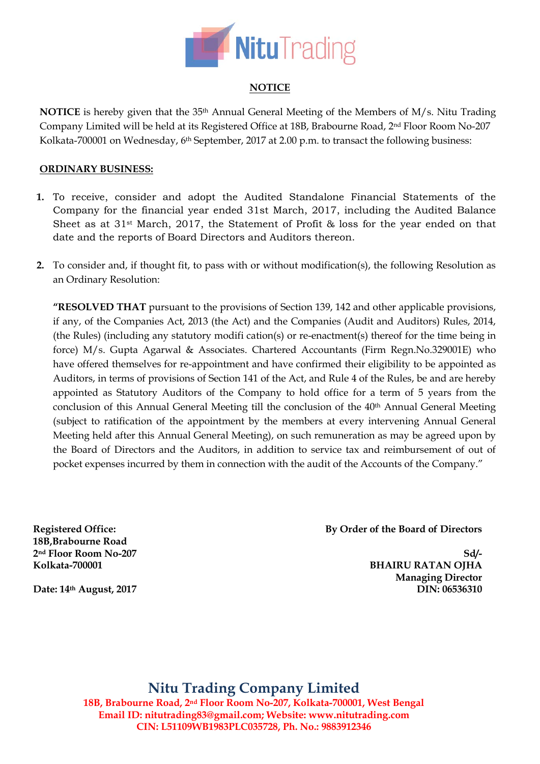

## **NOTICE**

**NOTICE** is hereby given that the 35th Annual General Meeting of the Members of M/s. Nitu Trading Company Limited will be held at its Registered Office at 18B, Brabourne Road, 2nd Floor Room No-207 Kolkata-700001 on Wednesday, 6<sup>th</sup> September, 2017 at 2.00 p.m. to transact the following business:

#### **ORDINARY BUSINESS:**

- **1.** To receive, consider and adopt the Audited Standalone Financial Statements of the Company for the financial year ended 31st March, 2017, including the Audited Balance Sheet as at 31st March, 2017, the Statement of Profit & loss for the year ended on that date and the reports of Board Directors and Auditors thereon.
- **2.** To consider and, if thought fit, to pass with or without modification(s), the following Resolution as an Ordinary Resolution:

**"RESOLVED THAT** pursuant to the provisions of Section 139, 142 and other applicable provisions, if any, of the Companies Act, 2013 (the Act) and the Companies (Audit and Auditors) Rules, 2014, (the Rules) (including any statutory modifi cation(s) or re-enactment(s) thereof for the time being in force) M/s. Gupta Agarwal & Associates. Chartered Accountants (Firm Regn.No.329001E) who have offered themselves for re-appointment and have confirmed their eligibility to be appointed as Auditors, in terms of provisions of Section 141 of the Act, and Rule 4 of the Rules, be and are hereby appointed as Statutory Auditors of the Company to hold office for a term of 5 years from the conclusion of this Annual General Meeting till the conclusion of the 40<sup>th</sup> Annual General Meeting (subject to ratification of the appointment by the members at every intervening Annual General Meeting held after this Annual General Meeting), on such remuneration as may be agreed upon by the Board of Directors and the Auditors, in addition to service tax and reimbursement of out of pocket expenses incurred by them in connection with the audit of the Accounts of the Company."

**Registered Office: 18B,Brabourne Road 2nd Floor Room No-207 Kolkata-700001**

**By Order of the Board of Directors**

**Sd/- BHAIRU RATAN OJHA Managing Director DIN: 06536310** 

**Date: 14th August, 2017**

**Nitu Trading Company Limited 18B, Brabourne Road, 2nd Floor Room No-207, Kolkata-700001, West Bengal Email ID: [nitutrading83@gmail.com;](mailto:NITUTRADING83@GMAIL.COM) Website: www.nitutrading.com CIN: L51109WB1983PLC035728, Ph. No.: 9883912346**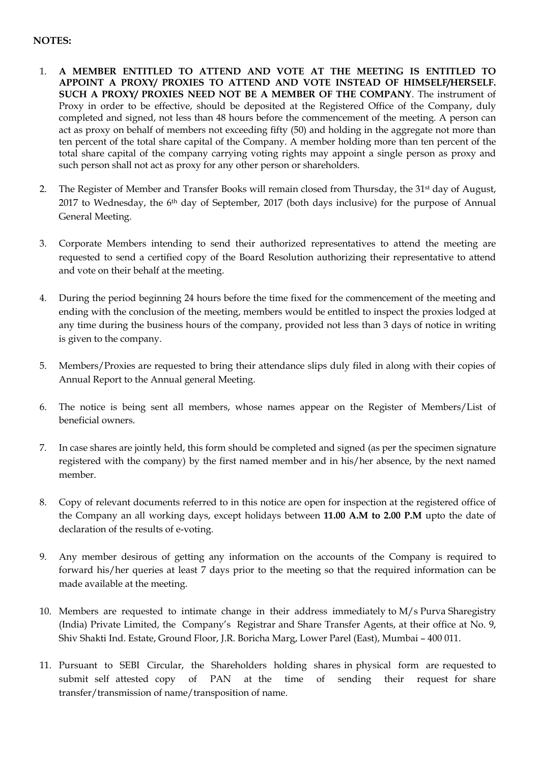## **NOTES:**

- 1. **A MEMBER ENTITLED TO ATTEND AND VOTE AT THE MEETING IS ENTITLED TO APPOINT A PROXY/ PROXIES TO ATTEND AND VOTE INSTEAD OF HIMSELF/HERSELF. SUCH A PROXY/ PROXIES NEED NOT BE A MEMBER OF THE COMPANY**. The instrument of Proxy in order to be effective, should be deposited at the Registered Office of the Company, duly completed and signed, not less than 48 hours before the commencement of the meeting. A person can act as proxy on behalf of members not exceeding fifty (50) and holding in the aggregate not more than ten percent of the total share capital of the Company. A member holding more than ten percent of the total share capital of the company carrying voting rights may appoint a single person as proxy and such person shall not act as proxy for any other person or shareholders.
- 2. The Register of Member and Transfer Books will remain closed from Thursday, the 31<sup>st</sup> day of August, 2017 to Wednesday, the 6<sup>th</sup> day of September, 2017 (both days inclusive) for the purpose of Annual General Meeting.
- 3. Corporate Members intending to send their authorized representatives to attend the meeting are requested to send a certified copy of the Board Resolution authorizing their representative to attend and vote on their behalf at the meeting.
- 4. During the period beginning 24 hours before the time fixed for the commencement of the meeting and ending with the conclusion of the meeting, members would be entitled to inspect the proxies lodged at any time during the business hours of the company, provided not less than 3 days of notice in writing is given to the company.
- 5. Members/Proxies are requested to bring their attendance slips duly filed in along with their copies of Annual Report to the Annual general Meeting.
- 6. The notice is being sent all members, whose names appear on the Register of Members/List of beneficial owners.
- 7. In case shares are jointly held, this form should be completed and signed (as per the specimen signature registered with the company) by the first named member and in his/her absence, by the next named member.
- 8. Copy of relevant documents referred to in this notice are open for inspection at the registered office of the Company an all working days, except holidays between **11.00 A.M to 2.00 P.M** upto the date of declaration of the results of e-voting.
- 9. Any member desirous of getting any information on the accounts of the Company is required to forward his/her queries at least 7 days prior to the meeting so that the required information can be made available at the meeting.
- 10. Members are requested to intimate change in their address immediately to M/s Purva Sharegistry (India) Private Limited, the Company's Registrar and Share Transfer Agents, at their office at No. 9, Shiv Shakti Ind. Estate, Ground Floor, J.R. Boricha Marg, Lower Parel (East), Mumbai – 400 011.
- 11. Pursuant to SEBI Circular, the Shareholders holding shares in physical form are requested to submit self attested copy of PAN at the time of sending their request for share transfer/transmission of name/transposition of name.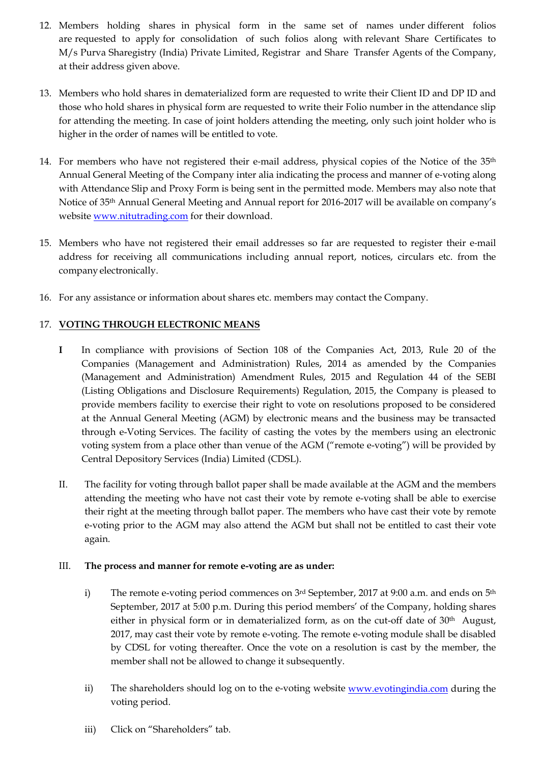- 12. Members holding shares in physical form in the same set of names under different folios are requested to apply for consolidation of such folios along with relevant Share Certificates to M/s Purva Sharegistry (India) Private Limited, Registrar and Share Transfer Agents of the Company, at their address given above.
- 13. Members who hold shares in dematerialized form are requested to write their Client ID and DP ID and those who hold shares in physical form are requested to write their Folio number in the attendance slip for attending the meeting. In case of joint holders attending the meeting, only such joint holder who is higher in the order of names will be entitled to vote.
- 14. For members who have not registered their e-mail address, physical copies of the Notice of the 35<sup>th</sup> Annual General Meeting of the Company inter alia indicating the process and manner of e‐voting along with Attendance Slip and Proxy Form is being sent in the permitted mode. Members may also note that Notice of 35th Annual General Meeting and Annual report for 2016-2017 will be available on company's website [www.nitutrading.com](http://www.nitutrading.com/) for their download.
- 15. Members who have not registered their email addresses so far are requested to register their e‐mail address for receiving all communications including annual report, notices, circulars etc. from the company electronically.
- 16. For any assistance or information about shares etc. members may contact the Company.

### 17. **VOTING THROUGH ELECTRONIC MEANS**

- **I** In compliance with provisions of Section 108 of the Companies Act, 2013, Rule 20 of the Companies (Management and Administration) Rules, 2014 as amended by the Companies (Management and Administration) Amendment Rules, 2015 and Regulation 44 of the SEBI (Listing Obligations and Disclosure Requirements) Regulation, 2015, the Company is pleased to provide members facility to exercise their right to vote on resolutions proposed to be considered at the Annual General Meeting (AGM) by electronic means and the business may be transacted through e-Voting Services. The facility of casting the votes by the members using an electronic voting system from a place other than venue of the AGM ("remote e-voting") will be provided by Central Depository Services (India) Limited (CDSL).
- II. The facility for voting through ballot paper shall be made available at the AGM and the members attending the meeting who have not cast their vote by remote e-voting shall be able to exercise their right at the meeting through ballot paper. The members who have cast their vote by remote e-voting prior to the AGM may also attend the AGM but shall not be entitled to cast their vote again.

#### III. **The process and manner for remote e-voting are as under:**

- i) The remote e-voting period commences on  $3<sup>rd</sup>$  September, 2017 at 9:00 a.m. and ends on  $5<sup>th</sup>$ September, 2017 at 5:00 p.m. During this period members' of the Company, holding shares either in physical form or in dematerialized form, as on the cut-off date of 30th August, 2017, may cast their vote by remote e-voting. The remote e-voting module shall be disabled by CDSL for voting thereafter. Once the vote on a resolution is cast by the member, the member shall not be allowed to change it subsequently.
- ii) The shareholders should log on to the e-voting website [www.evotingindia.com](http://www.evotingindia.com/) during the voting period.
- iii) Click on "Shareholders" tab.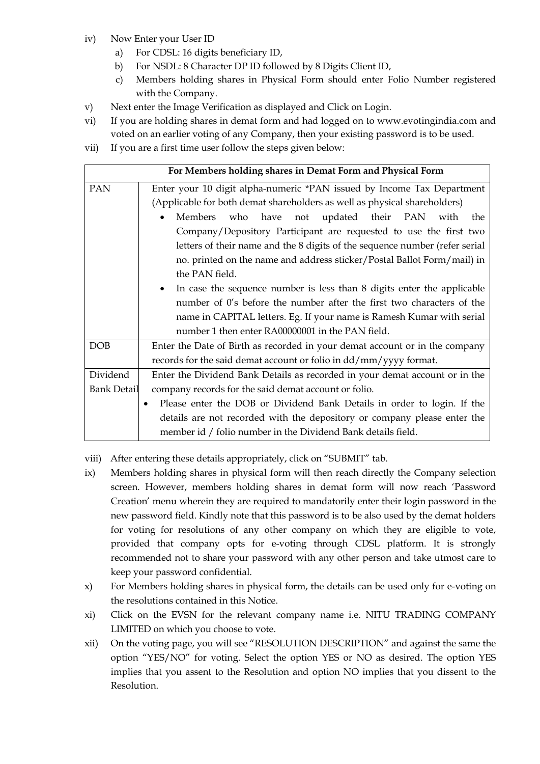- iv) Now Enter your User ID
	- a) For CDSL: 16 digits beneficiary ID,
	- b) For NSDL: 8 Character DP ID followed by 8 Digits Client ID,
	- c) Members holding shares in Physical Form should enter Folio Number registered with the Company.
- v) Next enter the Image Verification as displayed and Click on Login.
- vi) If you are holding shares in demat form and had logged on to [www.evotingindia.com](http://www.evotingindia.com/) and voted on an earlier voting of any Company, then your existing password is to be used.
- vii) If you are a first time user follow the steps given below:

| For Members holding shares in Demat Form and Physical Form |                                                                                      |  |  |  |
|------------------------------------------------------------|--------------------------------------------------------------------------------------|--|--|--|
| PAN                                                        | Enter your 10 digit alpha-numeric *PAN issued by Income Tax Department               |  |  |  |
|                                                            | (Applicable for both demat shareholders as well as physical shareholders)            |  |  |  |
|                                                            | have not updated their PAN with<br>Members<br>who<br>the<br>$\bullet$                |  |  |  |
|                                                            | Company/Depository Participant are requested to use the first two                    |  |  |  |
|                                                            | letters of their name and the 8 digits of the sequence number (refer serial          |  |  |  |
|                                                            | no. printed on the name and address sticker/Postal Ballot Form/mail) in              |  |  |  |
|                                                            | the PAN field.                                                                       |  |  |  |
|                                                            | In case the sequence number is less than 8 digits enter the applicable<br>$\bullet$  |  |  |  |
|                                                            | number of 0's before the number after the first two characters of the                |  |  |  |
|                                                            | name in CAPITAL letters. Eg. If your name is Ramesh Kumar with serial                |  |  |  |
|                                                            | number 1 then enter RA00000001 in the PAN field.                                     |  |  |  |
| <b>DOB</b>                                                 | Enter the Date of Birth as recorded in your demat account or in the company          |  |  |  |
|                                                            | records for the said demat account or folio in dd/mm/yyyy format.                    |  |  |  |
| Dividend                                                   | Enter the Dividend Bank Details as recorded in your demat account or in the          |  |  |  |
| <b>Bank Detail</b>                                         | company records for the said demat account or folio.                                 |  |  |  |
|                                                            | Please enter the DOB or Dividend Bank Details in order to login. If the<br>$\bullet$ |  |  |  |
|                                                            | details are not recorded with the depository or company please enter the             |  |  |  |
|                                                            | member id / folio number in the Dividend Bank details field.                         |  |  |  |

- viii) After entering these details appropriately, click on "SUBMIT" tab.
- ix) Members holding shares in physical form will then reach directly the Company selection screen. However, members holding shares in demat form will now reach 'Password Creation' menu wherein they are required to mandatorily enter their login password in the new password field. Kindly note that this password is to be also used by the demat holders for voting for resolutions of any other company on which they are eligible to vote, provided that company opts for e-voting through CDSL platform. It is strongly recommended not to share your password with any other person and take utmost care to keep your password confidential.
- x) For Members holding shares in physical form, the details can be used only for e-voting on the resolutions contained in this Notice.
- xi) Click on the EVSN for the relevant company name i.e. NITU TRADING COMPANY LIMITED on which you choose to vote.
- xii) On the voting page, you will see "RESOLUTION DESCRIPTION" and against the same the option "YES/NO" for voting. Select the option YES or NO as desired. The option YES implies that you assent to the Resolution and option NO implies that you dissent to the Resolution.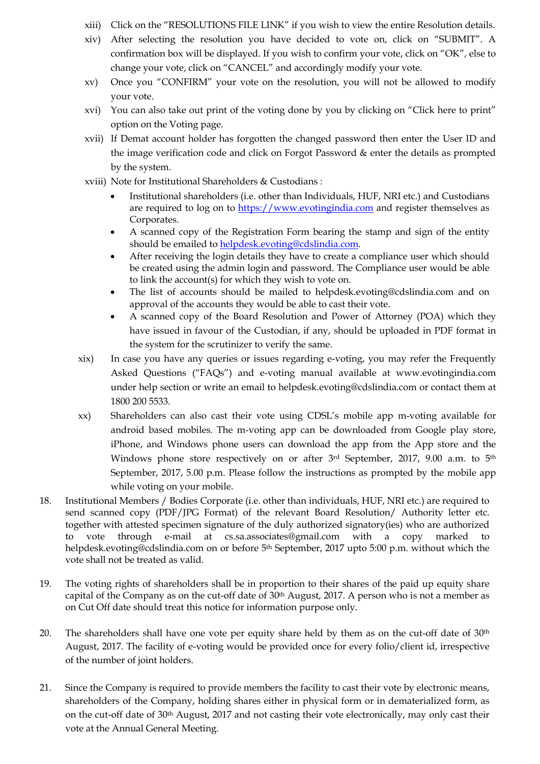- xiii) Click on the "RESOLUTIONS FILE LINK" if you wish to view the entire Resolution details.
- xiv) After selecting the resolution you have decided to vote on, click on "SUBMIT". A confirmation box will be displayed. If you wish to confirm your vote, click on "OK", else to change your vote, click on "CANCEL" and accordingly modify your vote.
- xv) Once you "CONFIRM" your vote on the resolution, you will not be allowed to modify your vote.
- xvi) You can also take out print of the voting done by you by clicking on "Click here to print" option on the Voting page.
- xvii) If Demat account holder has forgotten the changed password then enter the User ID and the image verification code and click on Forgot Password & enter the details as prompted by the system.
- xviii) Note for Institutional Shareholders & Custodians :
	- Institutional shareholders (i.e. other than Individuals, HUF, NRI etc.) and Custodians are required to log on to [https://www.evotingindia.com](https://www.evotingindia.com/) and register themselves as Corporates.
	- A scanned copy of the Registration Form bearing the stamp and sign of the entity should be emailed t[o helpdesk.evoting@cdslindia.com.](mailto:helpdesk.evoting@cdslindia.com)
	- After receiving the login details they have to create a compliance user which should be created using the admin login and password. The Compliance user would be able to link the account(s) for which they wish to vote on.
	- The list of accounts should be mailed to helpdesk.evoting@cdslindia.com and on approval of the accounts they would be able to cast their vote.
	- A scanned copy of the Board Resolution and Power of Attorney (POA) which they have issued in favour of the Custodian, if any, should be uploaded in PDF format in the system for the scrutinizer to verify the same.
- xix) In case you have any queries or issues regarding e-voting, you may refer the Frequently Asked Questions ("FAQs") and e-voting manual available at [www.evotingindia.com](http://www.evotingindia.com/) under help section or write an email to [helpdesk.evoting@cdslindia.com](mailto:helpdesk.evoting@cdslindia.com) or contact them at 1800 200 5533.
- xx) Shareholders can also cast their vote using CDSL's mobile app m-voting available for android based mobiles. The m-voting app can be downloaded from Google play store, iPhone, and Windows phone users can download the app from the App store and the Windows phone store respectively on or after 3rd September, 2017, 9.00 a.m. to 5th September, 2017, 5.00 p.m. Please follow the instructions as prompted by the mobile app while voting on your mobile.
- 18. Institutional Members / Bodies Corporate (i.e. other than individuals, HUF, NRI etc.) are required to send scanned copy (PDF/JPG Format) of the relevant Board Resolution/ Authority letter etc. together with attested specimen signature of the duly authorized signatory(ies) who are authorized to vote through e-mail at cs.sa.associates@gmail.com with a copy marked to helpdesk.evoting@cdslindia.com on or before 5<sup>th</sup> September, 2017 upto 5:00 p.m. without which the vote shall not be treated as valid.
- 19. The voting rights of shareholders shall be in proportion to their shares of the paid up equity share capital of the Company as on the cut-off date of  $30<sup>th</sup>$  August, 2017. A person who is not a member as on Cut Off date should treat this notice for information purpose only.
- 20. The shareholders shall have one vote per equity share held by them as on the cut-off date of  $30<sup>th</sup>$ August, 2017. The facility of e-voting would be provided once for every folio/client id, irrespective of the number of joint holders.
- 21. Since the Company is required to provide members the facility to cast their vote by electronic means, shareholders of the Company, holding shares either in physical form or in dematerialized form, as on the cut-off date of 30th August, 2017 and not casting their vote electronically, may only cast their vote at the Annual General Meeting.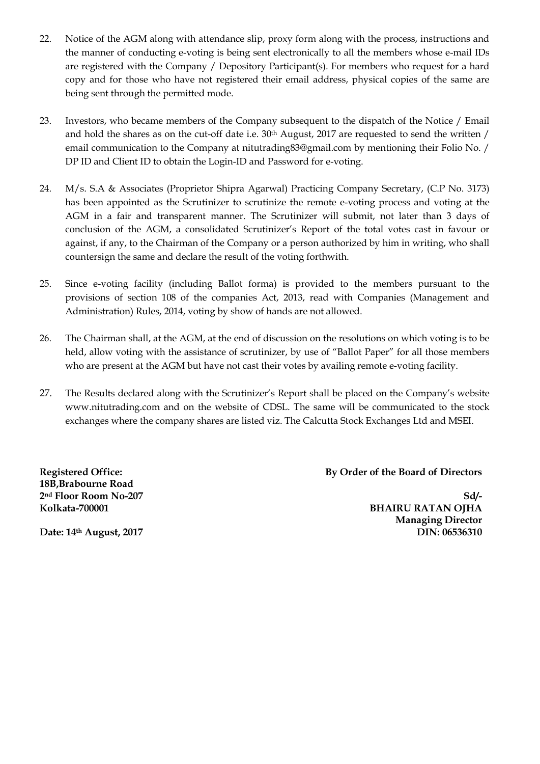- 22. Notice of the AGM along with attendance slip, proxy form along with the process, instructions and the manner of conducting e-voting is being sent electronically to all the members whose e-mail IDs are registered with the Company / Depository Participant(s). For members who request for a hard copy and for those who have not registered their email address, physical copies of the same are being sent through the permitted mode.
- 23. Investors, who became members of the Company subsequent to the dispatch of the Notice / Email and hold the shares as on the cut-off date i.e. 30<sup>th</sup> August, 2017 are requested to send the written / email communication to the Company at nitutrading83@gmail.com by mentioning their Folio No. / DP ID and Client ID to obtain the Login-ID and Password for e-voting.
- 24. M/s. S.A & Associates (Proprietor Shipra Agarwal) Practicing Company Secretary, (C.P No. 3173) has been appointed as the Scrutinizer to scrutinize the remote e-voting process and voting at the AGM in a fair and transparent manner. The Scrutinizer will submit, not later than 3 days of conclusion of the AGM, a consolidated Scrutinizer's Report of the total votes cast in favour or against, if any, to the Chairman of the Company or a person authorized by him in writing, who shall countersign the same and declare the result of the voting forthwith.
- 25. Since e-voting facility (including Ballot forma) is provided to the members pursuant to the provisions of section 108 of the companies Act, 2013, read with Companies (Management and Administration) Rules, 2014, voting by show of hands are not allowed.
- 26. The Chairman shall, at the AGM, at the end of discussion on the resolutions on which voting is to be held, allow voting with the assistance of scrutinizer, by use of "Ballot Paper" for all those members who are present at the AGM but have not cast their votes by availing remote e-voting facility.
- 27. The Results declared along with the Scrutinizer's Report shall be placed on the Company's website www.nitutrading.com and on the website of CDSL. The same will be communicated to the stock exchanges where the company shares are listed viz. The Calcutta Stock Exchanges Ltd and MSEI.

**Registered Office: 18B,Brabourne Road 2nd Floor Room No-207 Kolkata-700001**

**By Order of the Board of Directors**

**Sd/- BHAIRU RATAN OJHA Managing Director DIN: 06536310** 

**Date: 14th August, 2017**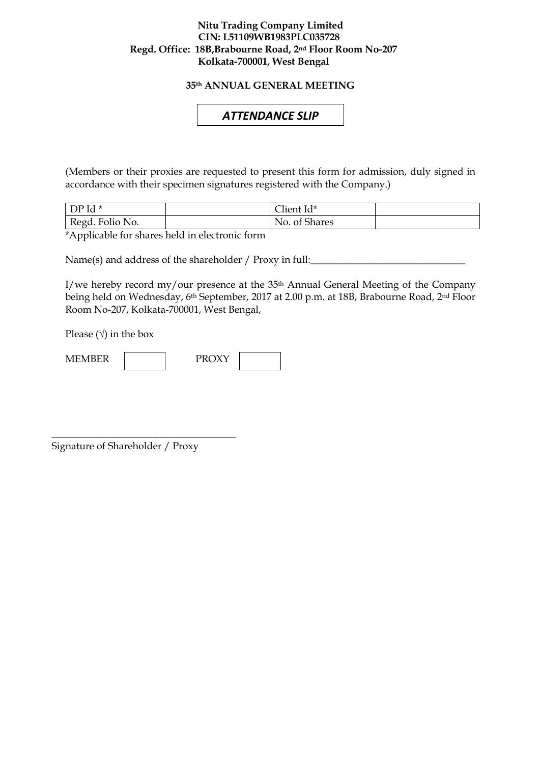#### **Nitu Trading Company Limited CIN: L51109WB1983PLC035728 Regd. Office: 18B,Brabourne Road, 2nd Floor Room No-207 Kolkata-700001, West Bengal**

**35th ANNUAL GENERAL MEETING**

## *ATTENDANCE SLIP*

(Members or their proxies are requested to present this form for admission, duly signed in accordance with their specimen signatures registered with the Company.)

| $DPId*$         | $\sim$ 1 $\sim$<br>∠lient Id* |  |
|-----------------|-------------------------------|--|
| Regd. Folio No. | No. of Shares                 |  |

\*Applicable for shares held in electronic form

Name(s) and address of the shareholder / Proxy in full:

I/we hereby record my/our presence at the 35th Annual General Meeting of the Company being held on Wednesday, 6th September, 2017 at 2.00 p.m. at 18B, Brabourne Road, 2nd Floor Room No-207, Kolkata-700001, West Bengal,

Please  $(\sqrt{})$  in the box



Signature of Shareholder / Proxy

\_\_\_\_\_\_\_\_\_\_\_\_\_\_\_\_\_\_\_\_\_\_\_\_\_\_\_\_\_\_\_\_\_\_\_\_\_